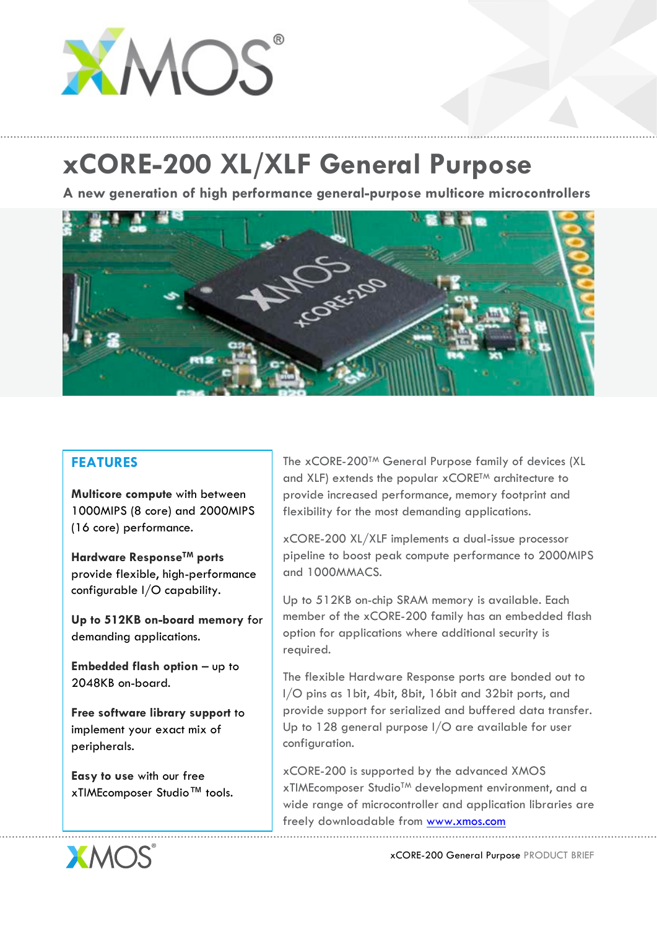

## **xCORE-200 XL/XLF General Purpose**

**A new generation of high performance general-purpose multicore microcontrollers**



## **FEATURES**

**Multicore compute** with between 1000MIPS (8 core) and 2000MIPS (16 core) performance.

**Hardware ResponseTM ports** provide flexible, high-performance configurable I/O capability.

**Up to 512KB on-board memory** for demanding applications.

**Embedded flash option** – up to 2048KB on-board.

**Free software library support** to implement your exact mix of peripherals.

**Easy to use** with our free xTIMEcomposer Studio™ tools. The xCORE-200TM General Purpose family of devices (XL and XLF) extends the popular xCORE<sup>TM</sup> architecture to provide increased performance, memory footprint and flexibility for the most demanding applications.

xCORE-200 XL/XLF implements a dual-issue processor pipeline to boost peak compute performance to 2000MIPS and 1000MMACS.

Up to 512KB on-chip SRAM memory is available. Each member of the xCORE-200 family has an embedded flash option for applications where additional security is required.

The flexible Hardware Response ports are bonded out to I/O pins as 1bit, 4bit, 8bit, 16bit and 32bit ports, and provide support for serialized and buffered data transfer. Up to 128 general purpose I/O are available for user configuration.

xCORE-200 is supported by the advanced XMOS xTIMEcomposer Studio<sup>™</sup> development environment, and a wide range of microcontroller and application libraries are freely downloadable from www.xmos.com



xCORE-200 General Purpose PRODUCT BRIEF